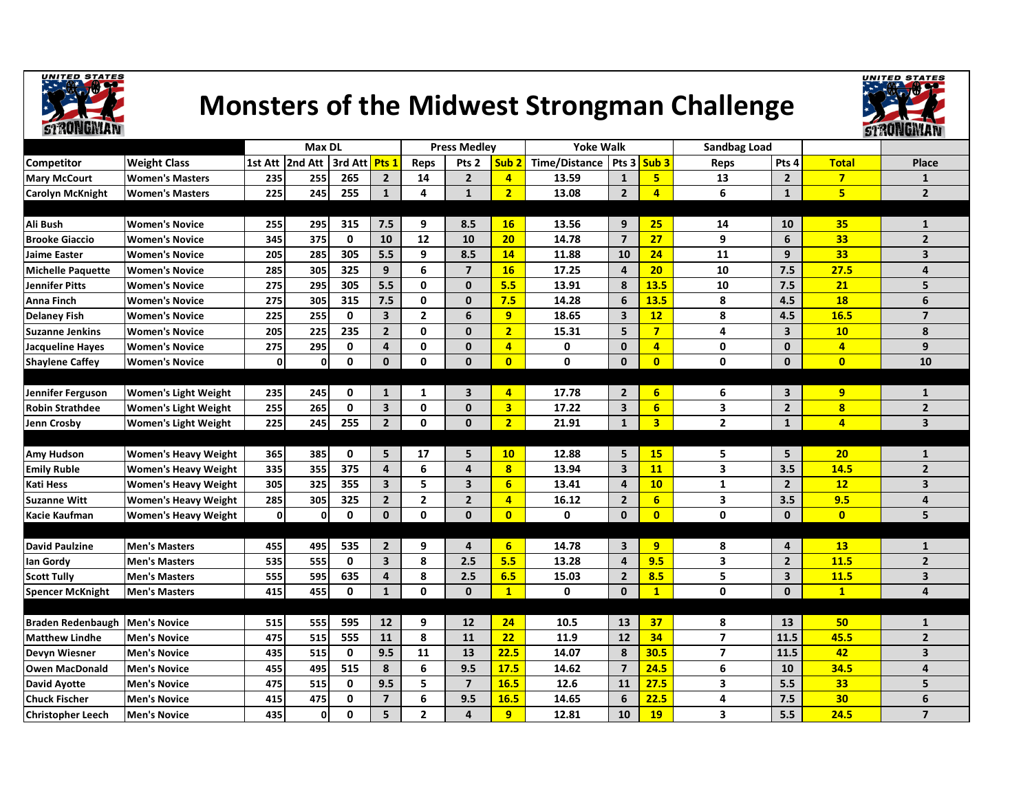

## Monsters of the Midwest Strongman Challenge



|                          |                             | <b>Max DL</b> |                 |               | <b>Press Medlev</b>     |                |                         | <b>Yoke Walk</b> |                      |                         | <b>Sandbag Load</b>     |                |                         |                         |                         |
|--------------------------|-----------------------------|---------------|-----------------|---------------|-------------------------|----------------|-------------------------|------------------|----------------------|-------------------------|-------------------------|----------------|-------------------------|-------------------------|-------------------------|
| <b>Competitor</b>        | <b>Weight Class</b>         |               | 1st Att 2nd Att | 3rd Att Pts 1 |                         | Reps           | Pts <sub>2</sub>        | Sub <sub>2</sub> | <b>Time/Distance</b> | Pts <sub>3</sub>        | Sub <sub>3</sub>        | Reps           | Pts 4                   | <b>Total</b>            | Place                   |
| <b>Mary McCourt</b>      | <b>Women's Masters</b>      | 235           | 255             | 265           | $\overline{2}$          | 14             | $\mathbf 2$             | $\overline{4}$   | 13.59                | $\mathbf{1}$            | 5 <sub>1</sub>          | 13             | $\overline{2}$          | $\overline{7}$          | $\mathbf{1}$            |
| <b>Carolyn McKnight</b>  | <b>Women's Masters</b>      | 225           | 245             | 255           | $\mathbf{1}$            | 4              | $\mathbf{1}$            | $\overline{2}$   | 13.08                | $\overline{2}$          | $\overline{\mathbf{4}}$ | 6              | $\mathbf{1}$            | 5                       | $2^{\circ}$             |
|                          |                             |               |                 |               |                         |                |                         |                  |                      |                         |                         |                |                         |                         |                         |
| Ali Bush                 | <b>Women's Novice</b>       | 255           | 295             | 315           | 7.5                     | 9              | 8.5                     | <b>16</b>        | 13.56                | 9                       | 25 <sub>2</sub>         | 14             | 10                      | 35                      | $\mathbf{1}$            |
| <b>Brooke Giaccio</b>    | <b>Women's Novice</b>       | 345           | 375             | 0             | 10                      | 12             | 10                      | 20               | 14.78                | $\overline{7}$          | 27                      | 9              | 6                       | 33                      | $\overline{2}$          |
| <b>Jaime Easter</b>      | <b>Women's Novice</b>       | 205           | 285             | 305           | 5.5                     | 9              | 8.5                     | 14               | 11.88                | 10                      | 24                      | 11             | 9                       | 33                      | 3                       |
| <b>Michelle Paquette</b> | <b>Women's Novice</b>       | 285           | 305             | 325           | 9                       | 6              | $\overline{7}$          | <b>16</b>        | 17.25                | $\overline{4}$          | 20                      | 10             | 7.5                     | 27.5                    | 4                       |
| <b>Jennifer Pitts</b>    | <b>Women's Novice</b>       | 275           | 295             | 305           | 5.5                     | 0              | $\mathbf 0$             | 5.5              | 13.91                | 8                       | 13.5                    | 10             | 7.5                     | 21                      | 5                       |
| <b>Anna Finch</b>        | <b>Women's Novice</b>       | 275           | 305             | 315           | 7.5                     | 0              | $\mathbf 0$             | 7.5              | 14.28                | 6                       | 13.5                    | 8              | 4.5                     | <b>18</b>               | 6                       |
| <b>Delaney Fish</b>      | <b>Women's Novice</b>       | 225           | 255             | 0             | 3                       | $\overline{2}$ | 6                       | 9                | 18.65                | $\overline{\mathbf{3}}$ | 12                      | 8              | 4.5                     | 16.5                    | $\overline{7}$          |
| <b>Suzanne Jenkins</b>   | <b>Women's Novice</b>       | 205           | 225             | 235           | $\overline{2}$          | 0              | $\mathbf{0}$            | $\overline{2}$   | 15.31                | 5                       | 7 <sup>1</sup>          | 4              | $\overline{\mathbf{3}}$ | 10                      | 8                       |
| <b>Jacqueline Hayes</b>  | <b>Women's Novice</b>       | 275           | 295             | 0             | 4                       | 0              | $\mathbf{0}$            | $\overline{4}$   | 0                    | $\mathbf{0}$            | $\overline{\mathbf{4}}$ | 0              | $\mathbf{0}$            | 4                       | 9                       |
| <b>Shaylene Caffey</b>   | <b>Women's Novice</b>       | $\mathbf{0}$  | $\mathbf{0}$    | 0             | 0                       | 0              | $\mathbf{0}$            | $\mathbf{0}$     | $\mathbf 0$          | $\mathbf 0$             | $\overline{0}$          | $\mathbf 0$    | $\mathbf{0}$            | $\mathbf{0}$            | 10                      |
|                          |                             |               |                 |               |                         |                |                         |                  |                      |                         |                         |                |                         |                         |                         |
| Jennifer Ferguson        | Women's Light Weight        | 235           | 245             | 0             | $\mathbf{1}$            | 1              | 3                       | $\overline{a}$   | 17.78                | $\overline{2}$          | 6 <sup>1</sup>          | 6              | $\overline{\mathbf{3}}$ | 9                       | $\mathbf{1}$            |
| <b>Robin Strathdee</b>   | <b>Women's Light Weight</b> | 255           | 265             | 0             | $\overline{\mathbf{3}}$ | 0              | $\mathbf{0}$            | 3 <sup>1</sup>   | 17.22                | $\overline{\mathbf{3}}$ | 6 <sup>1</sup>          | 3              | $\overline{2}$          | $\overline{\mathbf{8}}$ | $\overline{2}$          |
| Jenn Crosby              | <b>Women's Light Weight</b> | 225           | 245             | 255           | $\overline{2}$          | $\mathbf 0$    | $\mathbf 0$             | $\overline{2}$   | 21.91                | $\mathbf{1}$            | 3 <sup>1</sup>          | $\overline{2}$ | $\mathbf{1}$            | 4                       | $\overline{\mathbf{3}}$ |
|                          |                             |               |                 |               |                         |                |                         |                  |                      |                         |                         |                |                         |                         |                         |
| <b>Amy Hudson</b>        | <b>Women's Heavy Weight</b> | 365           | 385             | 0             | 5                       | 17             | 5                       | 10               | 12.88                | 5                       | <b>15</b>               | 5              | 5                       | 20                      | $\mathbf{1}$            |
| <b>Emily Ruble</b>       | <b>Women's Heavy Weight</b> | 335           | 355             | 375           | 4                       | 6              | $\overline{a}$          | 8                | 13.94                | 3                       | <b>11</b>               | 3              | 3.5                     | 14.5                    | $\mathbf{2}$            |
| <b>Kati Hess</b>         | <b>Women's Heavy Weight</b> | 305           | 325             | 355           | $\overline{\mathbf{3}}$ | 5              | $\overline{\mathbf{3}}$ | 6                | 13.41                | $\overline{a}$          | 10                      | $\mathbf{1}$   | $\overline{2}$          | 12                      | 3                       |
| <b>Suzanne Witt</b>      | <b>Women's Heavy Weight</b> | 285           | 305             | 325           | $\overline{2}$          | $\overline{2}$ | $\overline{2}$          | $\overline{a}$   | 16.12                | $\overline{2}$          | 6 <sup>1</sup>          | 3              | 3.5                     | 9.5                     | 4                       |
| Kacie Kaufman            | <b>Women's Heavy Weight</b> | $\mathbf{0}$  | $\mathbf{0}$    | 0             | $\mathbf{0}$            | $\mathbf{0}$   | $\mathbf{0}$            | $\overline{0}$   | 0                    | $\mathbf{0}$            | $\overline{0}$          | $\mathbf{0}$   | $\mathbf{0}$            | $\mathbf{0}$            | 5                       |
|                          |                             |               |                 |               |                         |                |                         |                  |                      |                         |                         |                |                         |                         |                         |
| <b>David Paulzine</b>    | <b>Men's Masters</b>        | 455           | 495             | 535           | $\overline{2}$          | 9              | 4                       | 6 <sup>1</sup>   | 14.78                | 3                       | 9 <sup>°</sup>          | 8              | $\overline{4}$          | 13                      | $\mathbf{1}$            |
| lan Gordy                | <b>Men's Masters</b>        | 535           | 555             | 0             | $\overline{\mathbf{3}}$ | 8              | 2.5                     | 5.5              | 13.28                | $\Delta$                | 9.5                     | 3              | $\overline{2}$          | 11.5                    | $\overline{2}$          |
| <b>Scott Tully</b>       | <b>Men's Masters</b>        | 555           | 595             | 635           | 4                       | 8              | 2.5                     | 6.5              | 15.03                | $\overline{2}$          | 8.5                     | 5              | $\overline{\mathbf{3}}$ | 11.5                    | 3                       |
| Spencer McKnight         | <b>Men's Masters</b>        | 415           | 455             | 0             | $\mathbf{1}$            | $\mathbf{0}$   | $\mathbf{0}$            | $\mathbf{1}$     | 0                    | $\mathbf{0}$            | $\mathbf{1}$            | $\mathbf 0$    | $\mathbf{0}$            | $\mathbf{1}$            | 4                       |
|                          |                             |               |                 |               |                         |                |                         |                  |                      |                         |                         |                |                         |                         |                         |
| <b>Braden Redenbaugh</b> | <b>Men's Novice</b>         | 515           | 555             | 595           | 12                      | 9              | 12                      | 24               | 10.5                 | 13                      | 37                      | 8              | 13                      | 50                      | $\mathbf{1}$            |
| <b>Matthew Lindhe</b>    | <b>Men's Novice</b>         | 475           | 515             | 555           | 11                      | 8              | 11                      | 22               | 11.9                 | 12                      | 34                      | $\overline{7}$ | 11.5                    | 45.5                    | $\overline{2}$          |
| <b>Devyn Wiesner</b>     | <b>Men's Novice</b>         | 435           | 515             | 0             | 9.5                     | 11             | 13                      | 22.5             | 14.07                | 8                       | 30.5                    | $\overline{7}$ | 11.5                    | 42                      | 3                       |
| <b>Owen MacDonald</b>    | <b>Men's Novice</b>         | 455           | 495             | 515           | 8                       | 6              | 9.5                     | 17.5             | 14.62                | $\overline{7}$          | 24.5                    | 6              | 10                      | 34.5                    | $\overline{\mathbf{4}}$ |
| David Ayotte             | <b>Men's Novice</b>         | 475           | 515             | 0             | 9.5                     | 5              | $\overline{7}$          | 16.5             | 12.6                 | 11                      | 27.5                    | 3              | 5.5                     | 33                      | 5                       |
| <b>Chuck Fischer</b>     | <b>Men's Novice</b>         | 415           | 475             | 0             | $\overline{7}$          | 6              | 9.5                     | 16.5             | 14.65                | 6                       | 22.5                    | 4              | 7.5                     | 30                      | 6                       |
| <b>Christopher Leech</b> | <b>Men's Novice</b>         | 435           | $\mathbf{0}$    | 0             | 5                       | 2              | 4                       | 9                | 12.81                | 10                      | <b>19</b>               | 3              | 5.5                     | 24.5                    | $\overline{7}$          |